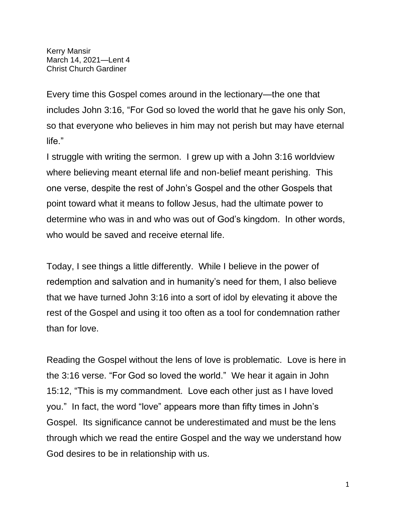Kerry Mansir March 14, 2021—Lent 4 Christ Church Gardiner

Every time this Gospel comes around in the lectionary—the one that includes John 3:16, "For God so loved the world that he gave his only Son, so that everyone who believes in him may not perish but may have eternal life."

I struggle with writing the sermon. I grew up with a John 3:16 worldview where believing meant eternal life and non-belief meant perishing. This one verse, despite the rest of John's Gospel and the other Gospels that point toward what it means to follow Jesus, had the ultimate power to determine who was in and who was out of God's kingdom. In other words, who would be saved and receive eternal life.

Today, I see things a little differently. While I believe in the power of redemption and salvation and in humanity's need for them, I also believe that we have turned John 3:16 into a sort of idol by elevating it above the rest of the Gospel and using it too often as a tool for condemnation rather than for love.

Reading the Gospel without the lens of love is problematic. Love is here in the 3:16 verse. "For God so loved the world." We hear it again in John 15:12, "This is my commandment. Love each other just as I have loved you." In fact, the word "love" appears more than fifty times in John's Gospel. Its significance cannot be underestimated and must be the lens through which we read the entire Gospel and the way we understand how God desires to be in relationship with us.

1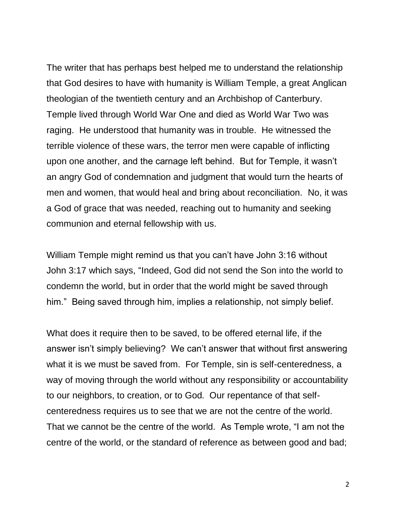The writer that has perhaps best helped me to understand the relationship that God desires to have with humanity is William Temple, a great Anglican theologian of the twentieth century and an Archbishop of Canterbury. Temple lived through World War One and died as World War Two was raging. He understood that humanity was in trouble. He witnessed the terrible violence of these wars, the terror men were capable of inflicting upon one another, and the carnage left behind. But for Temple, it wasn't an angry God of condemnation and judgment that would turn the hearts of men and women, that would heal and bring about reconciliation. No, it was a God of grace that was needed, reaching out to humanity and seeking communion and eternal fellowship with us.

William Temple might remind us that you can't have John 3:16 without John 3:17 which says, "Indeed, God did not send the Son into the world to condemn the world, but in order that the world might be saved through him." Being saved through him, implies a relationship, not simply belief.

What does it require then to be saved, to be offered eternal life, if the answer isn't simply believing? We can't answer that without first answering what it is we must be saved from. For Temple, sin is self-centeredness, a way of moving through the world without any responsibility or accountability to our neighbors, to creation, or to God. Our repentance of that selfcenteredness requires us to see that we are not the centre of the world. That we cannot be the centre of the world. As Temple wrote, "I am not the centre of the world, or the standard of reference as between good and bad;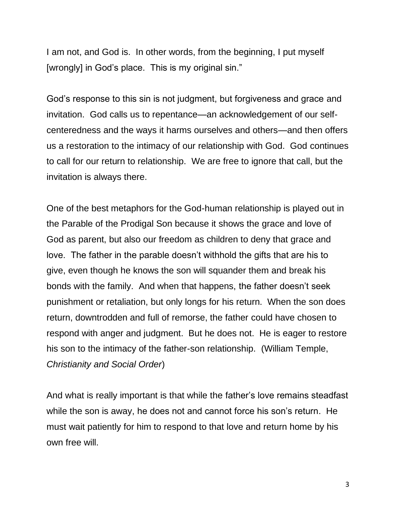I am not, and God is. In other words, from the beginning, I put myself [wrongly] in God's place. This is my original sin."

God's response to this sin is not judgment, but forgiveness and grace and invitation. God calls us to repentance—an acknowledgement of our selfcenteredness and the ways it harms ourselves and others—and then offers us a restoration to the intimacy of our relationship with God. God continues to call for our return to relationship. We are free to ignore that call, but the invitation is always there.

One of the best metaphors for the God-human relationship is played out in the Parable of the Prodigal Son because it shows the grace and love of God as parent, but also our freedom as children to deny that grace and love. The father in the parable doesn't withhold the gifts that are his to give, even though he knows the son will squander them and break his bonds with the family. And when that happens, the father doesn't seek punishment or retaliation, but only longs for his return. When the son does return, downtrodden and full of remorse, the father could have chosen to respond with anger and judgment. But he does not. He is eager to restore his son to the intimacy of the father-son relationship. (William Temple, *Christianity and Social Order*)

And what is really important is that while the father's love remains steadfast while the son is away, he does not and cannot force his son's return. He must wait patiently for him to respond to that love and return home by his own free will.